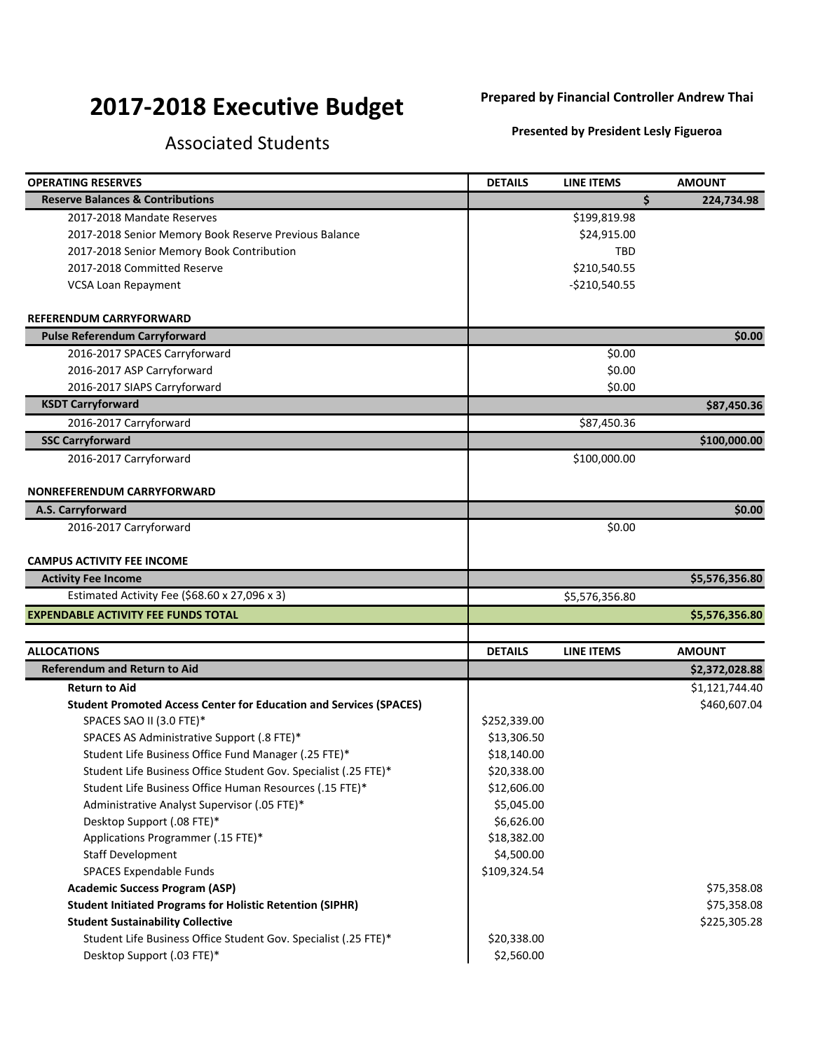## **2017-2018 Executive Budget**

## **Prepared by Financial Controller Andrew Thai**

## Associated Students

**Presented by President Lesly Figueroa**

| <b>OPERATING RESERVES</b>                                                 | <b>DETAILS</b> | <b>LINE ITEMS</b> | <b>AMOUNT</b>  |
|---------------------------------------------------------------------------|----------------|-------------------|----------------|
| <b>Reserve Balances &amp; Contributions</b>                               |                | Ś.                | 224,734.98     |
| 2017-2018 Mandate Reserves                                                |                | \$199,819.98      |                |
| 2017-2018 Senior Memory Book Reserve Previous Balance                     |                | \$24,915.00       |                |
| 2017-2018 Senior Memory Book Contribution                                 |                | <b>TBD</b>        |                |
| 2017-2018 Committed Reserve                                               |                | \$210,540.55      |                |
| <b>VCSA Loan Repayment</b>                                                |                | $-$210,540.55$    |                |
| <b>REFERENDUM CARRYFORWARD</b>                                            |                |                   |                |
| <b>Pulse Referendum Carryforward</b>                                      |                |                   | \$0.00         |
| 2016-2017 SPACES Carryforward                                             |                | \$0.00            |                |
| 2016-2017 ASP Carryforward                                                |                | \$0.00            |                |
| 2016-2017 SIAPS Carryforward                                              |                | \$0.00            |                |
| <b>KSDT Carryforward</b>                                                  |                |                   | \$87,450.36    |
| 2016-2017 Carryforward                                                    |                | \$87,450.36       |                |
| <b>SSC Carryforward</b>                                                   |                |                   | \$100,000.00   |
| 2016-2017 Carryforward                                                    |                | \$100,000.00      |                |
| <b>NONREFERENDUM CARRYFORWARD</b>                                         |                |                   |                |
| A.S. Carryforward                                                         |                |                   | \$0.00         |
| 2016-2017 Carryforward                                                    |                | \$0.00            |                |
| <b>CAMPUS ACTIVITY FEE INCOME</b>                                         |                |                   |                |
| <b>Activity Fee Income</b>                                                |                |                   | \$5,576,356.80 |
| Estimated Activity Fee (\$68.60 x 27,096 x 3)                             |                | \$5,576,356.80    |                |
| <b>EXPENDABLE ACTIVITY FEE FUNDS TOTAL</b>                                |                |                   | \$5,576,356.80 |
|                                                                           |                |                   |                |
| <b>ALLOCATIONS</b>                                                        | <b>DETAILS</b> | <b>LINE ITEMS</b> | <b>AMOUNT</b>  |
| <b>Referendum and Return to Aid</b>                                       |                |                   | \$2,372,028.88 |
| <b>Return to Aid</b>                                                      |                |                   | \$1,121,744.40 |
| <b>Student Promoted Access Center for Education and Services (SPACES)</b> |                |                   | \$460,607.04   |
| SPACES SAO II (3.0 FTE)*                                                  | \$252,339.00   |                   |                |
| SPACES AS Administrative Support (.8 FTE)*                                | \$13,306.50    |                   |                |
| Student Life Business Office Fund Manager (.25 FTE)*                      | \$18,140.00    |                   |                |
| Student Life Business Office Student Gov. Specialist (.25 FTE)*           | \$20,338.00    |                   |                |
| Student Life Business Office Human Resources (.15 FTE)*                   | \$12,606.00    |                   |                |
| Administrative Analyst Supervisor (.05 FTE)*                              | \$5,045.00     |                   |                |
| Desktop Support (.08 FTE)*                                                | \$6,626.00     |                   |                |
| Applications Programmer (.15 FTE)*                                        | \$18,382.00    |                   |                |
| Staff Development                                                         | \$4,500.00     |                   |                |
| <b>SPACES Expendable Funds</b>                                            | \$109,324.54   |                   |                |
| <b>Academic Success Program (ASP)</b>                                     |                |                   | \$75,358.08    |
| <b>Student Initiated Programs for Holistic Retention (SIPHR)</b>          |                |                   | \$75,358.08    |
| <b>Student Sustainability Collective</b>                                  |                |                   | \$225,305.28   |
| Student Life Business Office Student Gov. Specialist (.25 FTE)*           | \$20,338.00    |                   |                |
| Desktop Support (.03 FTE)*                                                | \$2,560.00     |                   |                |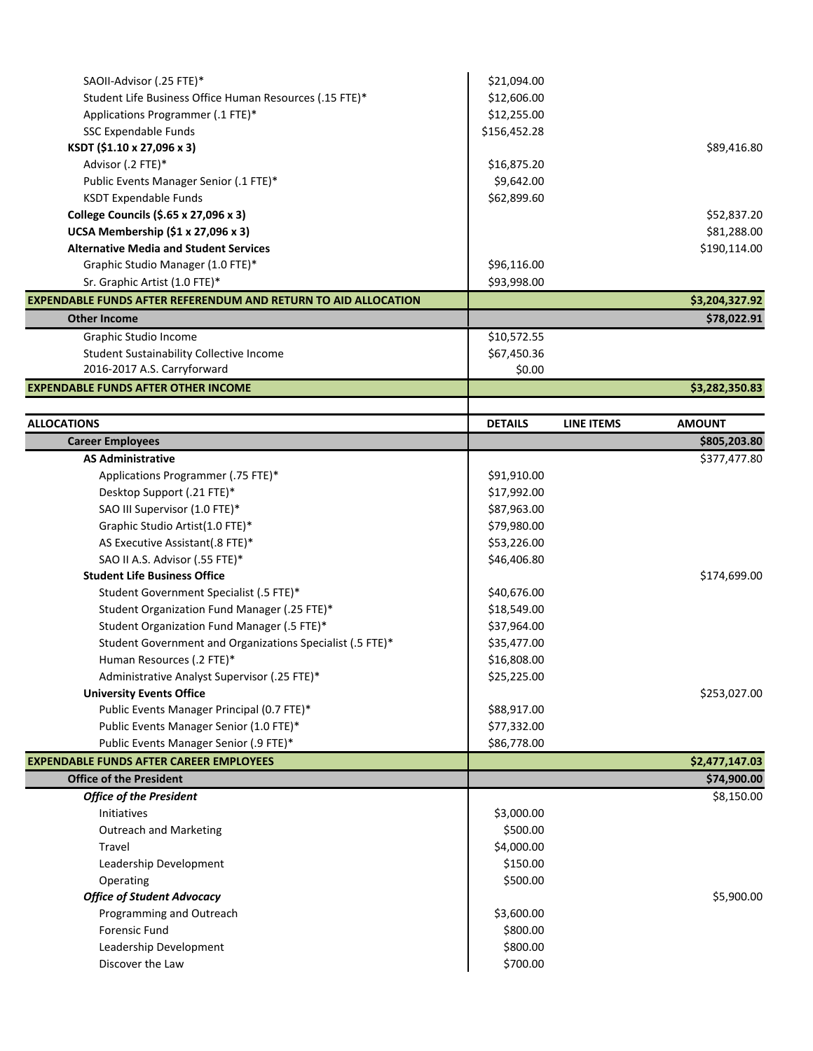| SAOII-Advisor (.25 FTE)*                                              | \$21,094.00    |                   |                |
|-----------------------------------------------------------------------|----------------|-------------------|----------------|
| Student Life Business Office Human Resources (.15 FTE)*               | \$12,606.00    |                   |                |
|                                                                       |                |                   |                |
| Applications Programmer (.1 FTE)*                                     | \$12,255.00    |                   |                |
| SSC Expendable Funds<br>KSDT (\$1.10 x 27,096 x 3)                    | \$156,452.28   |                   | \$89,416.80    |
|                                                                       |                |                   |                |
| Advisor (.2 FTE)*                                                     | \$16,875.20    |                   |                |
| Public Events Manager Senior (.1 FTE)*                                | \$9,642.00     |                   |                |
| <b>KSDT Expendable Funds</b>                                          | \$62,899.60    |                   |                |
| College Councils (\$.65 x 27,096 x 3)                                 |                |                   | \$52,837.20    |
| UCSA Membership (\$1 x 27,096 x 3)                                    |                |                   | \$81,288.00    |
| <b>Alternative Media and Student Services</b>                         |                |                   | \$190,114.00   |
| Graphic Studio Manager (1.0 FTE)*                                     | \$96,116.00    |                   |                |
| Sr. Graphic Artist (1.0 FTE)*                                         | \$93,998.00    |                   |                |
| <b>EXPENDABLE FUNDS AFTER REFERENDUM AND RETURN TO AID ALLOCATION</b> |                |                   | \$3,204,327.92 |
| <b>Other Income</b>                                                   |                |                   | \$78,022.91    |
| Graphic Studio Income                                                 | \$10,572.55    |                   |                |
| <b>Student Sustainability Collective Income</b>                       | \$67,450.36    |                   |                |
| 2016-2017 A.S. Carryforward                                           | \$0.00         |                   |                |
| <b>EXPENDABLE FUNDS AFTER OTHER INCOME</b>                            |                |                   | \$3,282,350.83 |
|                                                                       |                |                   |                |
| <b>ALLOCATIONS</b>                                                    | <b>DETAILS</b> | <b>LINE ITEMS</b> | <b>AMOUNT</b>  |
| <b>Career Employees</b>                                               |                |                   | \$805,203.80   |
| <b>AS Administrative</b>                                              |                |                   | \$377,477.80   |
| Applications Programmer (.75 FTE)*                                    | \$91,910.00    |                   |                |
| Desktop Support (.21 FTE)*                                            | \$17,992.00    |                   |                |
| SAO III Supervisor (1.0 FTE)*                                         | \$87,963.00    |                   |                |
| Graphic Studio Artist(1.0 FTE)*                                       | \$79,980.00    |                   |                |
| AS Executive Assistant(.8 FTE)*                                       | \$53,226.00    |                   |                |
| SAO II A.S. Advisor (.55 FTE)*                                        | \$46,406.80    |                   |                |
| <b>Student Life Business Office</b>                                   |                |                   | \$174,699.00   |
| Student Government Specialist (.5 FTE)*                               | \$40,676.00    |                   |                |
| Student Organization Fund Manager (.25 FTE)*                          | \$18,549.00    |                   |                |
| Student Organization Fund Manager (.5 FTE)*                           | \$37,964.00    |                   |                |
| Student Government and Organizations Specialist (.5 FTE)*             | \$35,477.00    |                   |                |
| Human Resources (.2 FTE)*                                             | \$16,808.00    |                   |                |
| Administrative Analyst Supervisor (.25 FTE)*                          | \$25,225.00    |                   |                |
| <b>University Events Office</b>                                       |                |                   | \$253,027.00   |
| Public Events Manager Principal (0.7 FTE)*                            | \$88,917.00    |                   |                |
| Public Events Manager Senior (1.0 FTE)*                               | \$77,332.00    |                   |                |
| Public Events Manager Senior (.9 FTE)*                                | \$86,778.00    |                   |                |
| <b>EXPENDABLE FUNDS AFTER CAREER EMPLOYEES</b>                        |                |                   | \$2,477,147.03 |
| <b>Office of the President</b>                                        |                |                   | \$74,900.00    |
| <b>Office of the President</b>                                        |                |                   | \$8,150.00     |
| Initiatives                                                           | \$3,000.00     |                   |                |
| <b>Outreach and Marketing</b>                                         | \$500.00       |                   |                |
| Travel                                                                | \$4,000.00     |                   |                |
| Leadership Development                                                | \$150.00       |                   |                |
| Operating                                                             | \$500.00       |                   |                |
| <b>Office of Student Advocacy</b>                                     |                |                   | \$5,900.00     |
| Programming and Outreach                                              | \$3,600.00     |                   |                |
| <b>Forensic Fund</b>                                                  | \$800.00       |                   |                |
| Leadership Development                                                | \$800.00       |                   |                |
| Discover the Law                                                      | \$700.00       |                   |                |
|                                                                       |                |                   |                |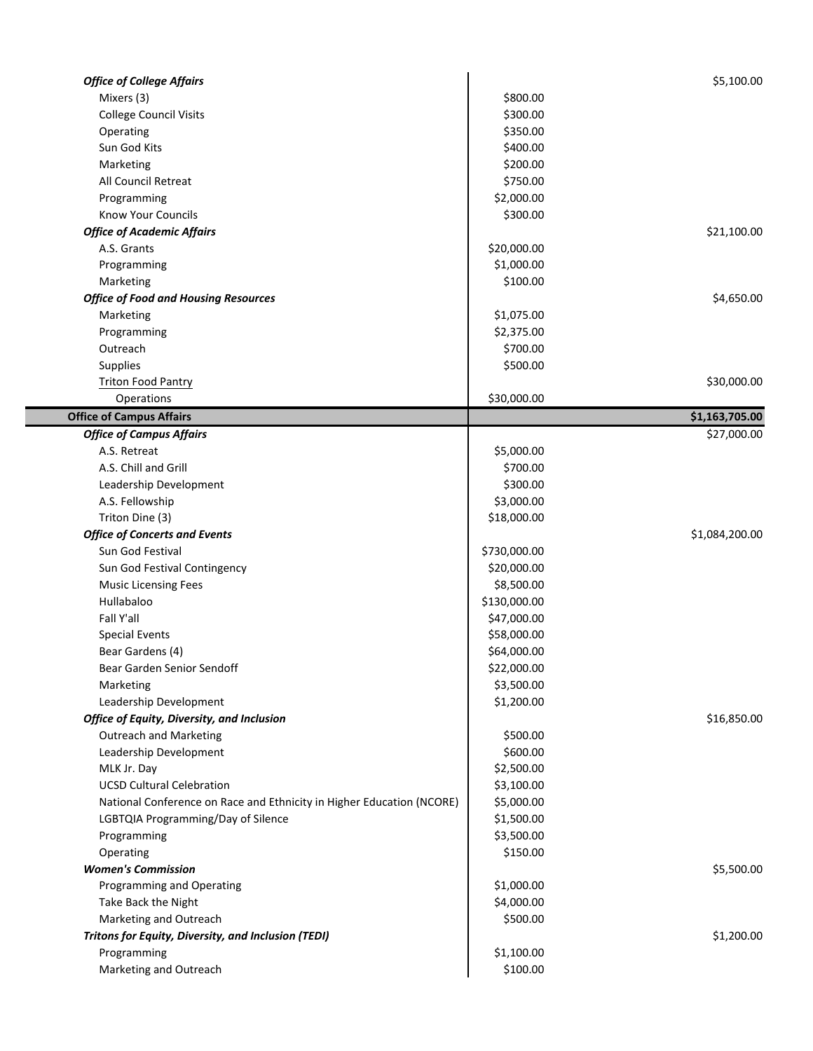| <b>Office of College Affairs</b>                                      |              | \$5,100.00     |
|-----------------------------------------------------------------------|--------------|----------------|
| Mixers (3)                                                            | \$800.00     |                |
| <b>College Council Visits</b>                                         | \$300.00     |                |
| Operating                                                             | \$350.00     |                |
| Sun God Kits                                                          | \$400.00     |                |
| Marketing                                                             | \$200.00     |                |
| All Council Retreat                                                   | \$750.00     |                |
| Programming                                                           | \$2,000.00   |                |
| <b>Know Your Councils</b>                                             | \$300.00     |                |
| <b>Office of Academic Affairs</b>                                     |              | \$21,100.00    |
| A.S. Grants                                                           | \$20,000.00  |                |
| Programming                                                           | \$1,000.00   |                |
| Marketing                                                             | \$100.00     |                |
| <b>Office of Food and Housing Resources</b>                           |              | \$4,650.00     |
| Marketing                                                             | \$1,075.00   |                |
| Programming                                                           | \$2,375.00   |                |
| Outreach                                                              | \$700.00     |                |
| Supplies                                                              | \$500.00     |                |
| <b>Triton Food Pantry</b>                                             |              | \$30,000.00    |
| Operations                                                            | \$30,000.00  |                |
| <b>Office of Campus Affairs</b>                                       |              | \$1,163,705.00 |
| <b>Office of Campus Affairs</b>                                       |              | \$27,000.00    |
| A.S. Retreat                                                          | \$5,000.00   |                |
| A.S. Chill and Grill                                                  | \$700.00     |                |
| Leadership Development                                                | \$300.00     |                |
| A.S. Fellowship                                                       | \$3,000.00   |                |
| Triton Dine (3)                                                       | \$18,000.00  |                |
| <b>Office of Concerts and Events</b>                                  |              | \$1,084,200.00 |
| Sun God Festival                                                      | \$730,000.00 |                |
| Sun God Festival Contingency                                          | \$20,000.00  |                |
| <b>Music Licensing Fees</b>                                           | \$8,500.00   |                |
| Hullabaloo                                                            | \$130,000.00 |                |
| Fall Y'all                                                            | \$47,000.00  |                |
| <b>Special Events</b>                                                 | \$58,000.00  |                |
| Bear Gardens (4)                                                      | \$64,000.00  |                |
| Bear Garden Senior Sendoff                                            | \$22,000.00  |                |
| Marketing                                                             | \$3,500.00   |                |
| Leadership Development                                                | \$1,200.00   |                |
| Office of Equity, Diversity, and Inclusion                            |              | \$16,850.00    |
| <b>Outreach and Marketing</b>                                         | \$500.00     |                |
| Leadership Development                                                | \$600.00     |                |
|                                                                       | \$2,500.00   |                |
| MLK Jr. Day<br><b>UCSD Cultural Celebration</b>                       | \$3,100.00   |                |
| National Conference on Race and Ethnicity in Higher Education (NCORE) | \$5,000.00   |                |
| LGBTQIA Programming/Day of Silence                                    | \$1,500.00   |                |
|                                                                       | \$3,500.00   |                |
| Programming                                                           |              |                |
| Operating<br><b>Women's Commission</b>                                | \$150.00     |                |
|                                                                       |              | \$5,500.00     |
| Programming and Operating                                             | \$1,000.00   |                |
| Take Back the Night                                                   | \$4,000.00   |                |
| Marketing and Outreach                                                | \$500.00     |                |
| Tritons for Equity, Diversity, and Inclusion (TEDI)                   |              | \$1,200.00     |
| Programming                                                           | \$1,100.00   |                |
| Marketing and Outreach                                                | \$100.00     |                |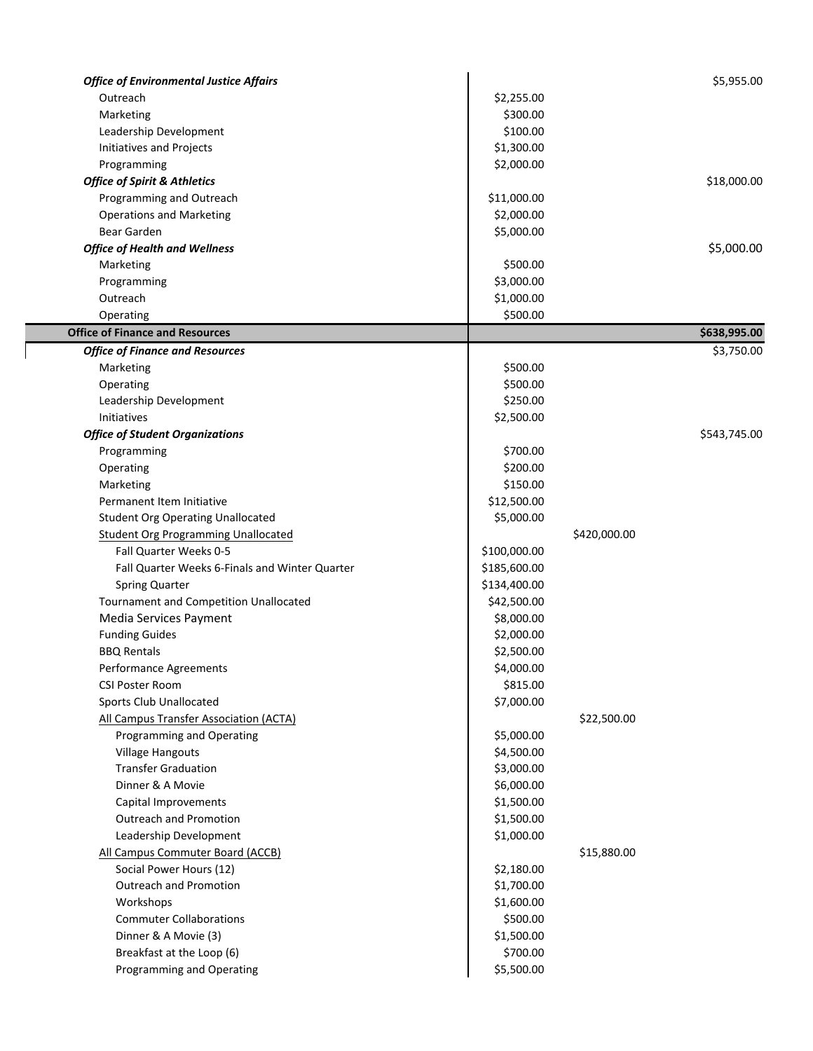| <b>Office of Environmental Justice Affairs</b> |              |              | \$5,955.00   |
|------------------------------------------------|--------------|--------------|--------------|
| Outreach                                       | \$2,255.00   |              |              |
| Marketing                                      | \$300.00     |              |              |
| Leadership Development                         | \$100.00     |              |              |
| Initiatives and Projects                       | \$1,300.00   |              |              |
| Programming                                    | \$2,000.00   |              |              |
| <b>Office of Spirit &amp; Athletics</b>        |              |              | \$18,000.00  |
| Programming and Outreach                       | \$11,000.00  |              |              |
| <b>Operations and Marketing</b>                | \$2,000.00   |              |              |
| Bear Garden                                    | \$5,000.00   |              |              |
| <b>Office of Health and Wellness</b>           |              |              | \$5,000.00   |
| Marketing                                      | \$500.00     |              |              |
| Programming                                    | \$3,000.00   |              |              |
| Outreach                                       | \$1,000.00   |              |              |
| Operating                                      | \$500.00     |              |              |
| <b>Office of Finance and Resources</b>         |              |              | \$638,995.00 |
| <b>Office of Finance and Resources</b>         |              |              | \$3,750.00   |
| Marketing                                      | \$500.00     |              |              |
| Operating                                      | \$500.00     |              |              |
| Leadership Development                         | \$250.00     |              |              |
| Initiatives                                    | \$2,500.00   |              |              |
| <b>Office of Student Organizations</b>         |              |              | \$543,745.00 |
| Programming                                    | \$700.00     |              |              |
| Operating                                      | \$200.00     |              |              |
| Marketing                                      | \$150.00     |              |              |
| Permanent Item Initiative                      | \$12,500.00  |              |              |
| <b>Student Org Operating Unallocated</b>       | \$5,000.00   |              |              |
| <b>Student Org Programming Unallocated</b>     |              | \$420,000.00 |              |
| Fall Quarter Weeks 0-5                         | \$100,000.00 |              |              |
| Fall Quarter Weeks 6-Finals and Winter Quarter | \$185,600.00 |              |              |
| <b>Spring Quarter</b>                          | \$134,400.00 |              |              |
| <b>Tournament and Competition Unallocated</b>  | \$42,500.00  |              |              |
| Media Services Payment                         | \$8,000.00   |              |              |
| <b>Funding Guides</b>                          | \$2,000.00   |              |              |
| <b>BBQ Rentals</b>                             | \$2,500.00   |              |              |
| <b>Performance Agreements</b>                  | \$4,000.00   |              |              |
| <b>CSI Poster Room</b>                         | \$815.00     |              |              |
| Sports Club Unallocated                        | \$7,000.00   |              |              |
| All Campus Transfer Association (ACTA)         |              | \$22,500.00  |              |
| Programming and Operating                      | \$5,000.00   |              |              |
| <b>Village Hangouts</b>                        | \$4,500.00   |              |              |
| <b>Transfer Graduation</b>                     | \$3,000.00   |              |              |
| Dinner & A Movie                               | \$6,000.00   |              |              |
| Capital Improvements                           | \$1,500.00   |              |              |
| <b>Outreach and Promotion</b>                  | \$1,500.00   |              |              |
| Leadership Development                         | \$1,000.00   |              |              |
| All Campus Commuter Board (ACCB)               |              | \$15,880.00  |              |
| Social Power Hours (12)                        | \$2,180.00   |              |              |
| Outreach and Promotion                         | \$1,700.00   |              |              |
| Workshops                                      | \$1,600.00   |              |              |
| <b>Commuter Collaborations</b>                 | \$500.00     |              |              |
| Dinner & A Movie (3)                           | \$1,500.00   |              |              |
| Breakfast at the Loop (6)                      | \$700.00     |              |              |
| Programming and Operating                      | \$5,500.00   |              |              |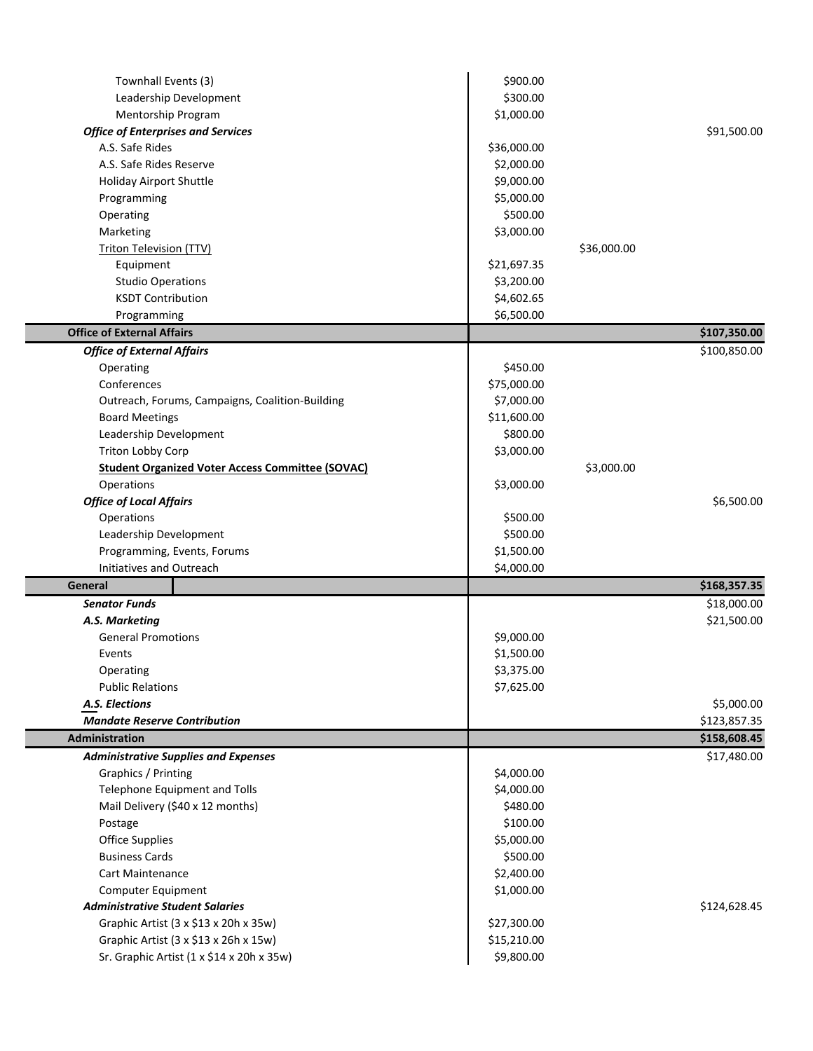| Townhall Events (3)                                     | \$900.00    |             |              |
|---------------------------------------------------------|-------------|-------------|--------------|
| Leadership Development                                  | \$300.00    |             |              |
| Mentorship Program                                      | \$1,000.00  |             |              |
| <b>Office of Enterprises and Services</b>               |             |             | \$91,500.00  |
| A.S. Safe Rides                                         | \$36,000.00 |             |              |
| A.S. Safe Rides Reserve                                 | \$2,000.00  |             |              |
| Holiday Airport Shuttle                                 | \$9,000.00  |             |              |
| Programming                                             | \$5,000.00  |             |              |
| Operating                                               | \$500.00    |             |              |
| Marketing                                               | \$3,000.00  |             |              |
| Triton Television (TTV)                                 |             | \$36,000.00 |              |
| Equipment                                               | \$21,697.35 |             |              |
| <b>Studio Operations</b>                                | \$3,200.00  |             |              |
| <b>KSDT Contribution</b>                                | \$4,602.65  |             |              |
| Programming                                             | \$6,500.00  |             |              |
| <b>Office of External Affairs</b>                       |             |             | \$107,350.00 |
| <b>Office of External Affairs</b>                       |             |             | \$100,850.00 |
| Operating                                               | \$450.00    |             |              |
| Conferences                                             | \$75,000.00 |             |              |
| Outreach, Forums, Campaigns, Coalition-Building         | \$7,000.00  |             |              |
| <b>Board Meetings</b>                                   | \$11,600.00 |             |              |
| Leadership Development                                  | \$800.00    |             |              |
| Triton Lobby Corp                                       | \$3,000.00  |             |              |
| <b>Student Organized Voter Access Committee (SOVAC)</b> |             | \$3,000.00  |              |
| Operations                                              | \$3,000.00  |             |              |
| <b>Office of Local Affairs</b>                          |             |             | \$6,500.00   |
| Operations                                              | \$500.00    |             |              |
| Leadership Development                                  | \$500.00    |             |              |
| Programming, Events, Forums                             | \$1,500.00  |             |              |
| Initiatives and Outreach                                | \$4,000.00  |             |              |
| General                                                 |             |             | \$168,357.35 |
| <b>Senator Funds</b>                                    |             |             | \$18,000.00  |
| A.S. Marketing                                          |             |             | \$21,500.00  |
| <b>General Promotions</b>                               | \$9,000.00  |             |              |
| Events                                                  | \$1,500.00  |             |              |
| Operating                                               | \$3,375.00  |             |              |
| <b>Public Relations</b>                                 | \$7,625.00  |             |              |
| A.S. Elections                                          |             |             | \$5,000.00   |
| <b>Mandate Reserve Contribution</b>                     |             |             | \$123,857.35 |
| Administration                                          |             |             | \$158,608.45 |
| <b>Administrative Supplies and Expenses</b>             |             |             | \$17,480.00  |
| Graphics / Printing                                     | \$4,000.00  |             |              |
| <b>Telephone Equipment and Tolls</b>                    | \$4,000.00  |             |              |
| Mail Delivery (\$40 x 12 months)                        | \$480.00    |             |              |
| Postage                                                 | \$100.00    |             |              |
| <b>Office Supplies</b>                                  | \$5,000.00  |             |              |
| <b>Business Cards</b>                                   | \$500.00    |             |              |
| <b>Cart Maintenance</b>                                 | \$2,400.00  |             |              |
| Computer Equipment                                      | \$1,000.00  |             |              |
| <b>Administrative Student Salaries</b>                  |             |             | \$124,628.45 |
| Graphic Artist (3 x \$13 x 20h x 35w)                   | \$27,300.00 |             |              |
| Graphic Artist (3 x \$13 x 26h x 15w)                   | \$15,210.00 |             |              |
| Sr. Graphic Artist (1 x \$14 x 20h x 35w)               | \$9,800.00  |             |              |
|                                                         |             |             |              |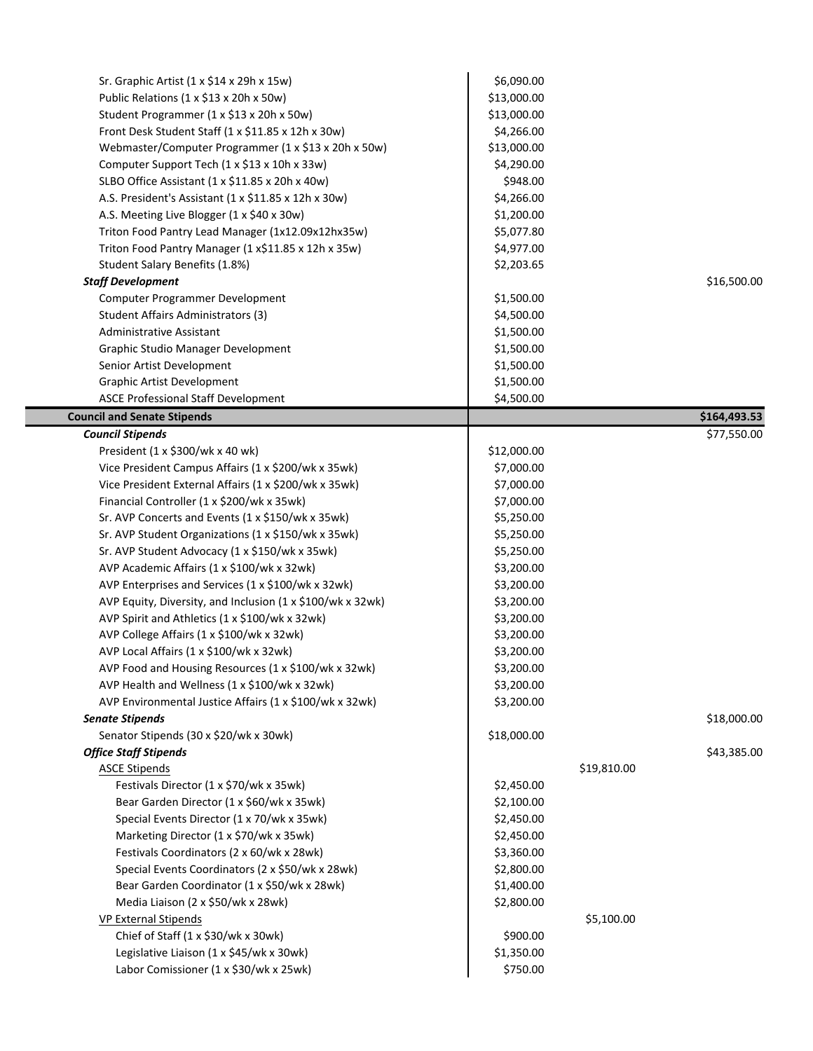| Sr. Graphic Artist $(1 \times $14 \times 29h \times 15w)$   | \$6,090.00  |             |                             |
|-------------------------------------------------------------|-------------|-------------|-----------------------------|
| Public Relations (1 x \$13 x 20h x 50w)                     | \$13,000.00 |             |                             |
| Student Programmer (1 x \$13 x 20h x 50w)                   | \$13,000.00 |             |                             |
| Front Desk Student Staff (1 x \$11.85 x 12h x 30w)          | \$4,266.00  |             |                             |
| Webmaster/Computer Programmer (1 x \$13 x 20h x 50w)        | \$13,000.00 |             |                             |
| Computer Support Tech (1 x \$13 x 10h x 33w)                | \$4,290.00  |             |                             |
| SLBO Office Assistant (1 x \$11.85 x 20h x 40w)             | \$948.00    |             |                             |
| A.S. President's Assistant (1 x \$11.85 x 12h x 30w)        | \$4,266.00  |             |                             |
| A.S. Meeting Live Blogger (1 x \$40 x 30w)                  | \$1,200.00  |             |                             |
| Triton Food Pantry Lead Manager (1x12.09x12hx35w)           | \$5,077.80  |             |                             |
| Triton Food Pantry Manager (1 x\$11.85 x 12h x 35w)         | \$4,977.00  |             |                             |
| Student Salary Benefits (1.8%)                              | \$2,203.65  |             |                             |
| <b>Staff Development</b>                                    |             |             | \$16,500.00                 |
| Computer Programmer Development                             | \$1,500.00  |             |                             |
| Student Affairs Administrators (3)                          | \$4,500.00  |             |                             |
| <b>Administrative Assistant</b>                             | \$1,500.00  |             |                             |
| Graphic Studio Manager Development                          | \$1,500.00  |             |                             |
| Senior Artist Development                                   | \$1,500.00  |             |                             |
| <b>Graphic Artist Development</b>                           | \$1,500.00  |             |                             |
| <b>ASCE Professional Staff Development</b>                  | \$4,500.00  |             |                             |
|                                                             |             |             |                             |
| <b>Council and Senate Stipends</b>                          |             |             | \$164,493.53<br>\$77,550.00 |
| <b>Council Stipends</b><br>President (1 x \$300/wk x 40 wk) | \$12,000.00 |             |                             |
| Vice President Campus Affairs (1 x \$200/wk x 35wk)         | \$7,000.00  |             |                             |
| Vice President External Affairs (1 x \$200/wk x 35wk)       | \$7,000.00  |             |                             |
| Financial Controller (1 x \$200/wk x 35wk)                  | \$7,000.00  |             |                             |
| Sr. AVP Concerts and Events (1 x \$150/wk x 35wk)           | \$5,250.00  |             |                             |
| Sr. AVP Student Organizations (1 x \$150/wk x 35wk)         | \$5,250.00  |             |                             |
| Sr. AVP Student Advocacy (1 x \$150/wk x 35wk)              | \$5,250.00  |             |                             |
| AVP Academic Affairs (1 x \$100/wk x 32wk)                  | \$3,200.00  |             |                             |
| AVP Enterprises and Services (1 x \$100/wk x 32wk)          | \$3,200.00  |             |                             |
| AVP Equity, Diversity, and Inclusion (1 x \$100/wk x 32wk)  | \$3,200.00  |             |                             |
| AVP Spirit and Athletics (1 x \$100/wk x 32wk)              | \$3,200.00  |             |                             |
| AVP College Affairs (1 x \$100/wk x 32wk)                   | \$3,200.00  |             |                             |
| AVP Local Affairs (1 x \$100/wk x 32wk)                     | \$3,200.00  |             |                             |
| AVP Food and Housing Resources (1 x \$100/wk x 32wk)        | \$3,200.00  |             |                             |
| AVP Health and Wellness (1 x \$100/wk x 32wk)               | \$3,200.00  |             |                             |
| AVP Environmental Justice Affairs (1 x \$100/wk x 32wk)     | \$3,200.00  |             |                             |
| <b>Senate Stipends</b>                                      |             |             | \$18,000.00                 |
| Senator Stipends (30 x \$20/wk x 30wk)                      | \$18,000.00 |             |                             |
| <b>Office Staff Stipends</b>                                |             |             | \$43,385.00                 |
| <b>ASCE Stipends</b>                                        |             | \$19,810.00 |                             |
| Festivals Director (1 x \$70/wk x 35wk)                     | \$2,450.00  |             |                             |
| Bear Garden Director (1 x \$60/wk x 35wk)                   | \$2,100.00  |             |                             |
| Special Events Director (1 x 70/wk x 35wk)                  | \$2,450.00  |             |                             |
| Marketing Director (1 x \$70/wk x 35wk)                     | \$2,450.00  |             |                             |
| Festivals Coordinators (2 x 60/wk x 28wk)                   | \$3,360.00  |             |                             |
| Special Events Coordinators (2 x \$50/wk x 28wk)            | \$2,800.00  |             |                             |
| Bear Garden Coordinator (1 x \$50/wk x 28wk)                | \$1,400.00  |             |                             |
| Media Liaison (2 x \$50/wk x 28wk)                          | \$2,800.00  |             |                             |
| VP External Stipends                                        |             | \$5,100.00  |                             |
| Chief of Staff (1 x \$30/wk x 30wk)                         | \$900.00    |             |                             |
| Legislative Liaison (1 x \$45/wk x 30wk)                    | \$1,350.00  |             |                             |
| Labor Comissioner (1 x \$30/wk x 25wk)                      | \$750.00    |             |                             |
|                                                             |             |             |                             |